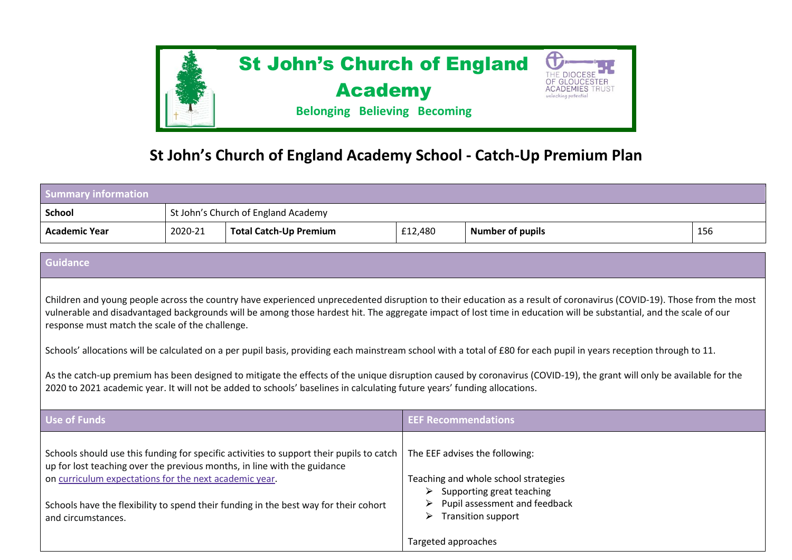

## **St John's Church of England Academy School - Catch-Up Premium Plan**

| <b>Summary information</b>                                                   |                                     |                                                                                                                                                                                                                                                              |                               |                                                                                                                                                                                                                                                                                                                                                                                                                                                                                                                                                                                                                                                                                            |     |
|------------------------------------------------------------------------------|-------------------------------------|--------------------------------------------------------------------------------------------------------------------------------------------------------------------------------------------------------------------------------------------------------------|-------------------------------|--------------------------------------------------------------------------------------------------------------------------------------------------------------------------------------------------------------------------------------------------------------------------------------------------------------------------------------------------------------------------------------------------------------------------------------------------------------------------------------------------------------------------------------------------------------------------------------------------------------------------------------------------------------------------------------------|-----|
| <b>School</b>                                                                | St John's Church of England Academy |                                                                                                                                                                                                                                                              |                               |                                                                                                                                                                                                                                                                                                                                                                                                                                                                                                                                                                                                                                                                                            |     |
| <b>Academic Year</b>                                                         | 2020-21                             | <b>Total Catch-Up Premium</b>                                                                                                                                                                                                                                | £12,480                       | <b>Number of pupils</b>                                                                                                                                                                                                                                                                                                                                                                                                                                                                                                                                                                                                                                                                    | 156 |
| <b>Guidance</b>                                                              |                                     |                                                                                                                                                                                                                                                              |                               |                                                                                                                                                                                                                                                                                                                                                                                                                                                                                                                                                                                                                                                                                            |     |
| response must match the scale of the challenge.                              |                                     | 2020 to 2021 academic year. It will not be added to schools' baselines in calculating future years' funding allocations.                                                                                                                                     |                               | Children and young people across the country have experienced unprecedented disruption to their education as a result of coronavirus (COVID-19). Those from the most<br>vulnerable and disadvantaged backgrounds will be among those hardest hit. The aggregate impact of lost time in education will be substantial, and the scale of our<br>Schools' allocations will be calculated on a per pupil basis, providing each mainstream school with a total of £80 for each pupil in years reception through to 11.<br>As the catch-up premium has been designed to mitigate the effects of the unique disruption caused by coronavirus (COVID-19), the grant will only be available for the |     |
| <b>Use of Funds</b>                                                          |                                     |                                                                                                                                                                                                                                                              | <b>EEF Recommendations</b>    |                                                                                                                                                                                                                                                                                                                                                                                                                                                                                                                                                                                                                                                                                            |     |
| on curriculum expectations for the next academic year.<br>and circumstances. |                                     | Schools should use this funding for specific activities to support their pupils to catch<br>up for lost teaching over the previous months, in line with the guidance<br>Schools have the flexibility to spend their funding in the best way for their cohort | ➤<br>➤<br>Targeted approaches | The EEF advises the following:<br>Teaching and whole school strategies<br>Supporting great teaching<br>Pupil assessment and feedback<br><b>Transition support</b>                                                                                                                                                                                                                                                                                                                                                                                                                                                                                                                          |     |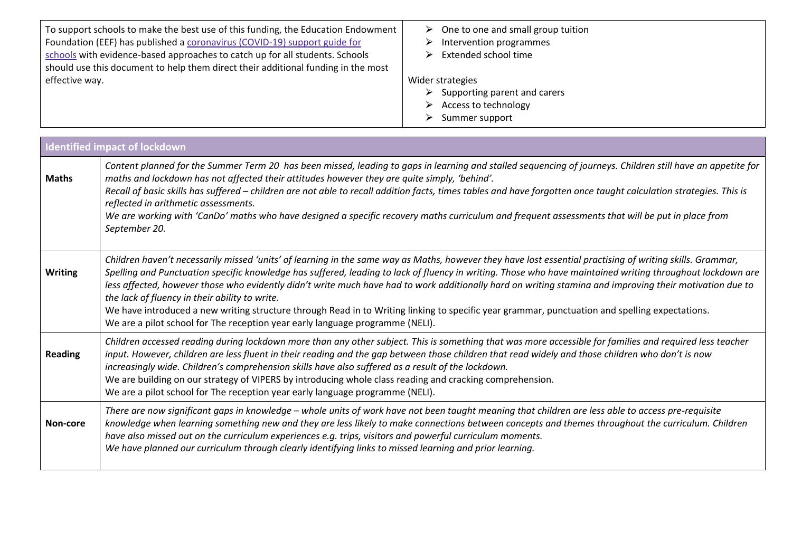| To support schools to make the best use of this funding, the Education Endowment  <br>Foundation (EEF) has published a coronavirus (COVID-19) support guide for<br>schools with evidence-based approaches to catch up for all students. Schools<br>should use this document to help them direct their additional funding in the most | $\triangleright$ One to one and small group tuition<br>Intervention programmes<br>Extended school time                            |
|--------------------------------------------------------------------------------------------------------------------------------------------------------------------------------------------------------------------------------------------------------------------------------------------------------------------------------------|-----------------------------------------------------------------------------------------------------------------------------------|
| effective way.                                                                                                                                                                                                                                                                                                                       | Wider strategies<br>$\triangleright$ Supporting parent and carers<br>Access to technology<br>⋗<br>$\triangleright$ Summer support |

a sa kabila na katika sa katika sa mga kalamatan ng mga kalamatan ng mga kalamatan ng mga kalamatan ng mga kal

|                | <b>Identified impact of lockdown</b>                                                                                                                                                                                                                                                                                                                                                                                                                                                                                                                                                                                                                                                                                                                                     |
|----------------|--------------------------------------------------------------------------------------------------------------------------------------------------------------------------------------------------------------------------------------------------------------------------------------------------------------------------------------------------------------------------------------------------------------------------------------------------------------------------------------------------------------------------------------------------------------------------------------------------------------------------------------------------------------------------------------------------------------------------------------------------------------------------|
| <b>Maths</b>   | Content planned for the Summer Term 20 has been missed, leading to gaps in learning and stalled sequencing of journeys. Children still have an appetite for<br>maths and lockdown has not affected their attitudes however they are quite simply, 'behind'.<br>Recall of basic skills has suffered - children are not able to recall addition facts, times tables and have forgotten once taught calculation strategies. This is<br>reflected in arithmetic assessments.<br>We are working with 'CanDo' maths who have designed a specific recovery maths curriculum and frequent assessments that will be put in place from<br>September 20.                                                                                                                            |
| <b>Writing</b> | Children haven't necessarily missed 'units' of learning in the same way as Maths, however they have lost essential practising of writing skills. Grammar,<br>Spelling and Punctuation specific knowledge has suffered, leading to lack of fluency in writing. Those who have maintained writing throughout lockdown are<br>less affected, however those who evidently didn't write much have had to work additionally hard on writing stamina and improving their motivation due to<br>the lack of fluency in their ability to write.<br>We have introduced a new writing structure through Read in to Writing linking to specific year grammar, punctuation and spelling expectations.<br>We are a pilot school for The reception year early language programme (NELI). |
| Reading        | Children accessed reading during lockdown more than any other subject. This is something that was more accessible for families and required less teacher<br>input. However, children are less fluent in their reading and the gap between those children that read widely and those children who don't is now<br>increasingly wide. Children's comprehension skills have also suffered as a result of the lockdown.<br>We are building on our strategy of VIPERS by introducing whole class reading and cracking comprehension.<br>We are a pilot school for The reception year early language programme (NELI).                                                                                                                                                         |
| Non-core       | There are now significant gaps in knowledge – whole units of work have not been taught meaning that children are less able to access pre-requisite<br>knowledge when learning something new and they are less likely to make connections between concepts and themes throughout the curriculum. Children<br>have also missed out on the curriculum experiences e.g. trips, visitors and powerful curriculum moments.<br>We have planned our curriculum through clearly identifying links to missed learning and prior learning.                                                                                                                                                                                                                                          |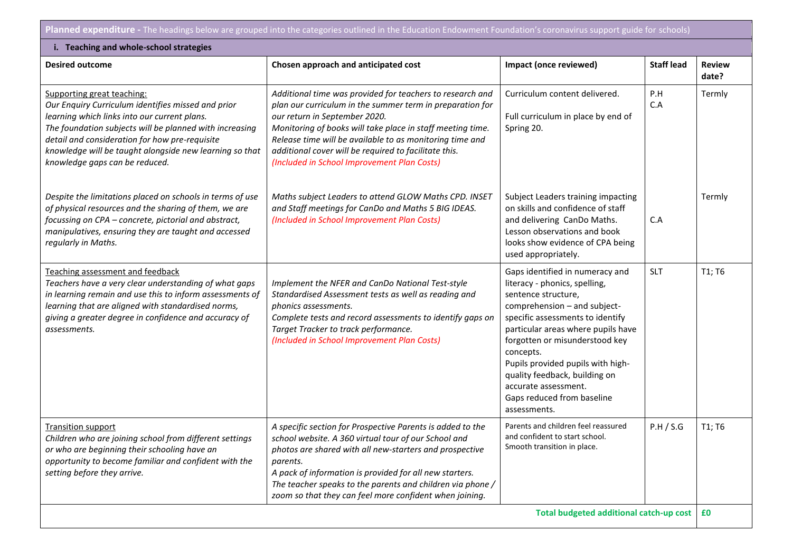**Planned expenditure -** The headings below are grouped into the categories outlined in the Education Endowment Foundation's coronavirus support guide for schools)

| i. Teaching and whole-school strategies                                                                                                                                                                                                                                                                                                    |                                                                                                                                                                                                                                                                                                                                                                                           |                                                                                                                                                                                                                                                                                                                                                                                              |                   |                        |  |  |
|--------------------------------------------------------------------------------------------------------------------------------------------------------------------------------------------------------------------------------------------------------------------------------------------------------------------------------------------|-------------------------------------------------------------------------------------------------------------------------------------------------------------------------------------------------------------------------------------------------------------------------------------------------------------------------------------------------------------------------------------------|----------------------------------------------------------------------------------------------------------------------------------------------------------------------------------------------------------------------------------------------------------------------------------------------------------------------------------------------------------------------------------------------|-------------------|------------------------|--|--|
| <b>Desired outcome</b>                                                                                                                                                                                                                                                                                                                     | Chosen approach and anticipated cost                                                                                                                                                                                                                                                                                                                                                      | Impact (once reviewed)                                                                                                                                                                                                                                                                                                                                                                       | <b>Staff lead</b> | <b>Review</b><br>date? |  |  |
| Supporting great teaching:<br>Our Enquiry Curriculum identifies missed and prior<br>learning which links into our current plans.<br>The foundation subjects will be planned with increasing<br>detail and consideration for how pre-requisite<br>knowledge will be taught alongside new learning so that<br>knowledge gaps can be reduced. | Additional time was provided for teachers to research and<br>plan our curriculum in the summer term in preparation for<br>our return in September 2020.<br>Monitoring of books will take place in staff meeting time.<br>Release time will be available to as monitoring time and<br>additional cover will be required to facilitate this.<br>(Included in School Improvement Plan Costs) | Curriculum content delivered.<br>Full curriculum in place by end of<br>Spring 20.                                                                                                                                                                                                                                                                                                            | P.H<br>C.A        | Termly                 |  |  |
| Despite the limitations placed on schools in terms of use<br>of physical resources and the sharing of them, we are<br>focussing on CPA - concrete, pictorial and abstract,<br>manipulatives, ensuring they are taught and accessed<br>regularly in Maths.                                                                                  | Maths subject Leaders to attend GLOW Maths CPD. INSET<br>and Staff meetings for CanDo and Maths 5 BIG IDEAS.<br>(Included in School Improvement Plan Costs)                                                                                                                                                                                                                               | Subject Leaders training impacting<br>on skills and confidence of staff<br>and delivering CanDo Maths.<br>Lesson observations and book<br>looks show evidence of CPA being<br>used appropriately.                                                                                                                                                                                            | C.A               | Termly                 |  |  |
| Teaching assessment and feedback<br>Teachers have a very clear understanding of what gaps<br>in learning remain and use this to inform assessments of<br>learning that are aligned with standardised norms,<br>giving a greater degree in confidence and accuracy of<br>assessments.                                                       | Implement the NFER and CanDo National Test-style<br>Standardised Assessment tests as well as reading and<br>phonics assessments.<br>Complete tests and record assessments to identify gaps on<br>Target Tracker to track performance.<br>(Included in School Improvement Plan Costs)                                                                                                      | Gaps identified in numeracy and<br>literacy - phonics, spelling,<br>sentence structure,<br>comprehension - and subject-<br>specific assessments to identify<br>particular areas where pupils have<br>forgotten or misunderstood key<br>concepts.<br>Pupils provided pupils with high-<br>quality feedback, building on<br>accurate assessment.<br>Gaps reduced from baseline<br>assessments. | <b>SLT</b>        | T1; T6                 |  |  |
| <b>Transition support</b><br>Children who are joining school from different settings<br>or who are beginning their schooling have an<br>opportunity to become familiar and confident with the<br>setting before they arrive.                                                                                                               | A specific section for Prospective Parents is added to the<br>school website. A 360 virtual tour of our School and<br>photos are shared with all new-starters and prospective<br>parents.<br>A pack of information is provided for all new starters.<br>The teacher speaks to the parents and children via phone /<br>zoom so that they can feel more confident when joining.             | Parents and children feel reassured<br>and confident to start school.<br>Smooth transition in place.                                                                                                                                                                                                                                                                                         | P.H / S.G         | T1; T6                 |  |  |
| Total budgeted additional catch-up cost                                                                                                                                                                                                                                                                                                    |                                                                                                                                                                                                                                                                                                                                                                                           |                                                                                                                                                                                                                                                                                                                                                                                              |                   |                        |  |  |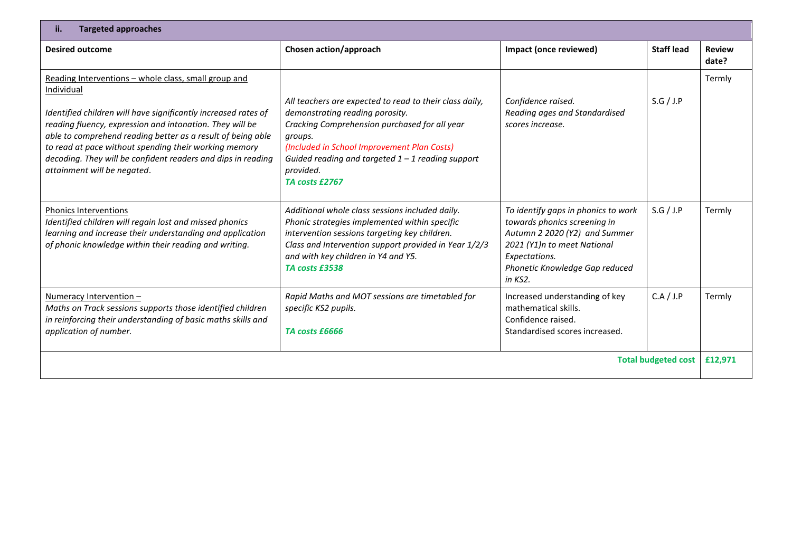| ii.<br><b>Targeted approaches</b>                                                                                                                                                                                                                                                                                                                                                                                       |                                                                                                                                                                                                                                                                                             |                                                                                                                                                                                                     |                   |                        |
|-------------------------------------------------------------------------------------------------------------------------------------------------------------------------------------------------------------------------------------------------------------------------------------------------------------------------------------------------------------------------------------------------------------------------|---------------------------------------------------------------------------------------------------------------------------------------------------------------------------------------------------------------------------------------------------------------------------------------------|-----------------------------------------------------------------------------------------------------------------------------------------------------------------------------------------------------|-------------------|------------------------|
| <b>Desired outcome</b>                                                                                                                                                                                                                                                                                                                                                                                                  | Chosen action/approach                                                                                                                                                                                                                                                                      | Impact (once reviewed)                                                                                                                                                                              | <b>Staff lead</b> | <b>Review</b><br>date? |
| Reading Interventions - whole class, small group and<br>Individual<br>Identified children will have significantly increased rates of<br>reading fluency, expression and intonation. They will be<br>able to comprehend reading better as a result of being able<br>to read at pace without spending their working memory<br>decoding. They will be confident readers and dips in reading<br>attainment will be negated. | All teachers are expected to read to their class daily,<br>demonstrating reading porosity.<br>Cracking Comprehension purchased for all year<br>groups.<br>(Included in School Improvement Plan Costs)<br>Guided reading and targeted $1 - 1$ reading support<br>provided.<br>TA costs £2767 | Confidence raised.<br>Reading ages and Standardised<br>scores increase.                                                                                                                             | S.G/J.P           | Termly                 |
| <b>Phonics Interventions</b><br>Identified children will regain lost and missed phonics<br>learning and increase their understanding and application<br>of phonic knowledge within their reading and writing.                                                                                                                                                                                                           | Additional whole class sessions included daily.<br>Phonic strategies implemented within specific<br>intervention sessions targeting key children.<br>Class and Intervention support provided in Year 1/2/3<br>and with key children in Y4 and Y5.<br>TA costs £3538                         | To identify gaps in phonics to work<br>towards phonics screening in<br>Autumn 2 2020 (Y2) and Summer<br>2021 (Y1)n to meet National<br>Expectations.<br>Phonetic Knowledge Gap reduced<br>in $KS2.$ | S.G/J.P           | Termly                 |
| Numeracy Intervention -<br>Maths on Track sessions supports those identified children<br>in reinforcing their understanding of basic maths skills and<br>application of number.                                                                                                                                                                                                                                         | Rapid Maths and MOT sessions are timetabled for<br>specific KS2 pupils.<br>TA costs £6666                                                                                                                                                                                                   | Increased understanding of key<br>mathematical skills.<br>Confidence raised.<br>Standardised scores increased.                                                                                      | C.A / J.P         | Termly                 |
| <b>Total budgeted cost</b>                                                                                                                                                                                                                                                                                                                                                                                              |                                                                                                                                                                                                                                                                                             |                                                                                                                                                                                                     |                   | £12,971                |